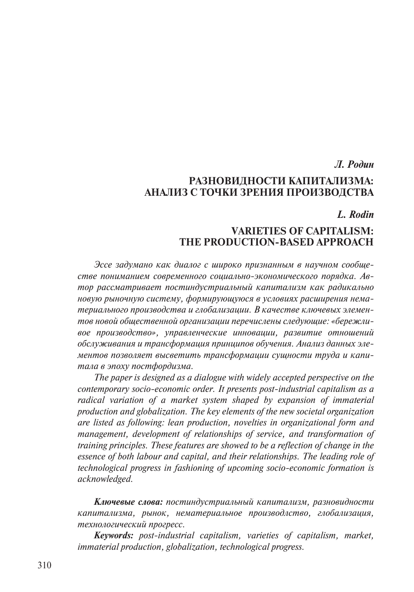#### *Л. Родин*

# **РАЗНОВИДНОСТИ КАПИТАЛИЗМА: АНАЛИЗ С ТОЧКИ ЗРЕНИЯ ПРОИЗВОДСТВА**

### *L. Rodin*

## **VARIETIES OF CAPITALISM: THE PRODUCTION-BASED APPROACH**

*Эссе задумано как диалог с широко признанным в научном сообществе пониманием современного социально-экономического порядка. Автор рассматривает постиндустриальный капитализм как радикально новую рыночную систему, формирующуюся в условиях расширения нематериального производства и глобализации. В качестве ключевых элементов новой общественной организации перечислены следующие: «бережливое производство», управленческие инновации, развитие отношений обслуживания и трансформация принципов обучения. Анализ данных элементов позволяет высветить трансформации сущности труда и капитала в эпоху постфордизма.*

*The paper is designed as a dialogue with widely accepted perspective on the contemporary socio-economic order. It presents post-industrial capitalism as a radical variation of a market system shaped by expansion of immaterial production and globalization. The key elements of the new societal organization are listed as following: lean production, novelties in organizational form and management, development of relationships of service, and transformation of training principles. These features are showed to be a reflection of change in the essence of both labour and capital, and their relationships. The leading role of technological progress in fashioning of upcoming socio-economic formation is acknowledged.*

*Ключевые слова: постиндустриальный капитализм, разновидности капитализма, рынок, нематериальное производлство, глобализация, технологический прогресс.*

*Keywords: post-industrial capitalism, varieties of capitalism, market, immaterial production, globalization, technological progress.*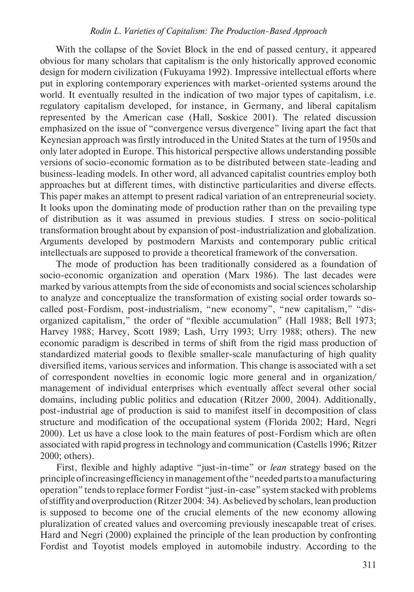With the collapse of the Soviet Block in the end of passed century, it appeared obvious for many scholars that capitalism is the only historically approved economic design for modern civilization (Fukuyama 1992). Impressive intellectual efforts where put in exploring contemporary experiences with market-oriented systems around the world. It eventually resulted in the indication of two major types of capitalism, i.e. regulatory capitalism developed, for instance, in Germany, and liberal capitalism represented by the American case (Hall, Soskice 2001). The related discussion emphasized on the issue of "convergence versus divergence" living apart the fact that Keynesian approach was firstly introduced in the United States at the turn of 1950s and only later adopted in Europe. This historical perspective allows understanding possible versions of socio-economic formation as to be distributed between state-leading and business-leading models. In other word, all advanced capitalist countries employ both approaches but at different times, with distinctive particularities and diverse effects. This paper makes an attempt to present radical variation of an entrepreneurial society. It looks upon the dominating mode of production rather than on the prevailing type of distribution as it was assumed in previous studies. I stress on socio-political transformation brought about by expansion of post-industrialization and globalization. Arguments developed by postmodern Marxists and contemporary public critical intellectuals are supposed to provide a theoretical framework of the conversation.

The mode of production has been traditionally considered as a foundation of socio-economic organization and operation (Marx 1986). The last decades were marked by various attempts from the side of economists and social sciences scholarship to analyze and conceptualize the transformation of existing social order towards socalled post-Fordism, post-industrialism, "new economy", "new capitalism," "disorganized capitalism," the order of "flexible accumulation" (Hall 1988; Bell 1973; Harvey 1988; Harvey, Scott 1989; Lash, Urry 1993; Urry 1988; others). The new economic paradigm is described in terms of shift from the rigid mass production of standardized material goods to flexible smaller-scale manufacturing of high quality diversified items, various services and information. This change is associated with a set of correspondent novelties in economic logic more general and in organization/ management of individual enterprises which eventually affect several other social domains, including public politics and education (Ritzer 2000, 2004). Additionally, post-industrial age of production is said to manifest itself in decomposition of class structure and modification of the occupational system (Florida 2002; Hard, Negri 2000). Let us have a close look to the main features of post-Fordism which are often associated with rapid progress in technology and communication (Castells 1996; Ritzer 2000; others).

First, flexible and highly adaptive "just-in-time" or *lean* strategy based on the principle of increasing efficiency in management of the "needed parts to a manufacturing operation" tends to replace former Fordist "just-in-case" system stacked with problems of stiffity and overproduction (Ritzer 2004: 34). As believed by scholars, lean production is supposed to become one of the crucial elements of the new economy allowing pluralization of created values and overcoming previously inescapable treat of crises. Hard and Negri (2000) explained the principle of the lean production by confronting Fordist and Toyotist models employed in automobile industry. According to the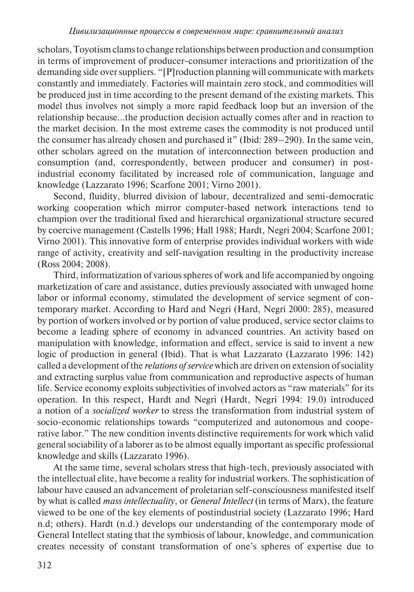scholars, Toyotism clams to change relationships between production and consumption in terms of improvement of producer-consumer interactions and prioritization of the demanding side over suppliers. "[P]roduction planning will communicate with markets constantly and immediately. Factories will maintain zero stock, and commodities will be produced just in time according to the present demand of the existing markets. This model thus involves not simply a more rapid feedback loop but an inversion of the relationship because…the production decision actually comes after and in reaction to the market decision. In the most extreme cases the commodity is not produced until the consumer has already chosen and purchased it" (Ibid: 289–290). In the same vein, other scholars agreed on the mutation of interconnection between production and consumption (and, correspondently, between producer and consumer) in postindustrial economy facilitated by increased role of communication, language and knowledge (Lazzarato 1996; Scarfone 2001; Virno 2001).

Second, fluidity, blurred division of labour, decentralized and semi-democratic working cooperation which mirror computer-based network interactions tend to champion over the traditional fixed and hierarchical organizational structure secured by coercive management (Castells 1996; Hall 1988; Hardt, Negri 2004; Scarfone 2001; Virno 2001). This innovative form of enterprise provides individual workers with wide range of activity, creativity and self-navigation resulting in the productivity increase (Ross 2004; 2008).

Third, informatization of various spheres of work and life accompanied by ongoing marketization of care and assistance, duties previously associated with unwaged home labor or informal economy, stimulated the development of service segment of contemporary market. According to Hard and Negri (Hard, Negri 2000: 285), measured by portion of workers involved or by portion of value produced, service sector claims to become a leading sphere of economy in advanced countries. An activity based on manipulation with knowledge, information and effect, service is said to invent a new logic of production in general (Ibid). That is what Lazzarato (Lazzarato 1996: 142) called a development of the *relations of service* which are driven on extension of sociality and extracting surplus value from communication and reproductive aspects of human life. Service economy exploits subjectivities of involved actors as "raw materials" for its operation. In this respect, Hardt and Negri (Hardt, Negri 1994: 19.0) introduced a notion of a *socialized worker* to stress the transformation from industrial system of socio-economic relationships towards "computerized and autonomous and cooperative labor." The new condition invents distinctive requirements for work which valid general sociability of a laborer as to be almost equally important as specific professional knowledge and skills (Lazzarato 1996).

At the same time, several scholars stress that high-tech, previously associated with the intellectual elite, have become a reality for industrial workers. The sophistication of labour have caused an advancement of proletarian self-consciousness manifested itself by what is called *mass intellectuality*, or *General Intellect* (in terms of Marx), the feature viewed to be one of the key elements of postindustrial society (Lazzarato 1996; Hard n.d; others). Hardt (n.d.) develops our understanding of the contemporary mode of General Intellect stating that the symbiosis of labour, knowledge, and communication creates necessity of constant transformation of one's spheres of expertise due to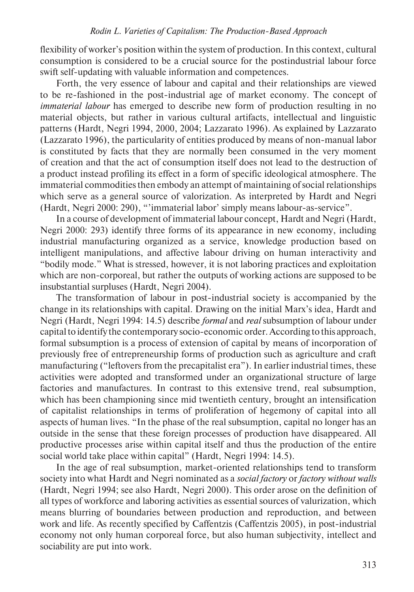flexibility of worker's position within the system of production. In this context, cultural consumption is considered to be a crucial source for the postindustrial labour force swift self-updating with valuable information and competences.

Forth, the very essence of labour and capital and their relationships are viewed to be re-fashioned in the post-industrial age of market economy. The concept of *immaterial labour* has emerged to describe new form of production resulting in no material objects, but rather in various cultural artifacts, intellectual and linguistic patterns (Hardt, Negri 1994, 2000, 2004; Lazzarato 1996). As explained by Lazzarato (Lazzarato 1996), the particularity of entities produced by means of non-manual labor is constituted by facts that they are normally been consumed in the very moment of creation and that the act of consumption itself does not lead to the destruction of a product instead profiling its effect in a form of specific ideological atmosphere. The immaterial commodities then embody an attempt of maintaining of social relationships which serve as a general source of valorization. As interpreted by Hardt and Negri (Hardt, Negri 2000: 290), "'immaterial labor' simply means labour-as-service".

In a course of development of immaterial labour concept, Hardt and Negri (Hardt, Negri 2000: 293) identify three forms of its appearance in new economy, including industrial manufacturing organized as a service, knowledge production based on intelligent manipulations, and affective labour driving on human interactivity and "bodily mode." What is stressed, however, it is not laboring practices and exploitation which are non-corporeal, but rather the outputs of working actions are supposed to be insubstantial surpluses (Hardt, Negri 2004).

The transformation of labour in post-industrial society is accompanied by the change in its relationships with capital. Drawing on the initial Marx's idea, Hardt and Negri (Hardt, Negri 1994: 14.5) describe *formal* and *real* subsumption of labour under capital to identify the contemporary socio-economic order. According to this approach, formal subsumption is a process of extension of capital by means of incorporation of previously free of entrepreneurship forms of production such as agriculture and craft manufacturing ("leftovers from the precapitalist era"). In earlier industrial times, these activities were adopted and transformed under an organizational structure of large factories and manufactures. In contrast to this extensive trend, real subsumption, which has been championing since mid twentieth century, brought an intensification of capitalist relationships in terms of proliferation of hegemony of capital into all aspects of human lives. "In the phase of the real subsumption, capital no longer has an outside in the sense that these foreign processes of production have disappeared. All productive processes arise within capital itself and thus the production of the entire social world take place within capital" (Hardt, Negri 1994: 14.5).

In the age of real subsumption, market-oriented relationships tend to transform society into what Hardt and Negri nominated as a *social factory* or *factory without walls* (Hardt, Negri 1994; see also Hardt, Negri 2000). This order arose on the definition of all types of workforce and laboring activities as essential sources of valurization, which means blurring of boundaries between production and reproduction, and between work and life. As recently specified by Caffentzis (Caffentzis 2005), in post-industrial economy not only human corporeal force, but also human subjectivity, intellect and sociability are put into work.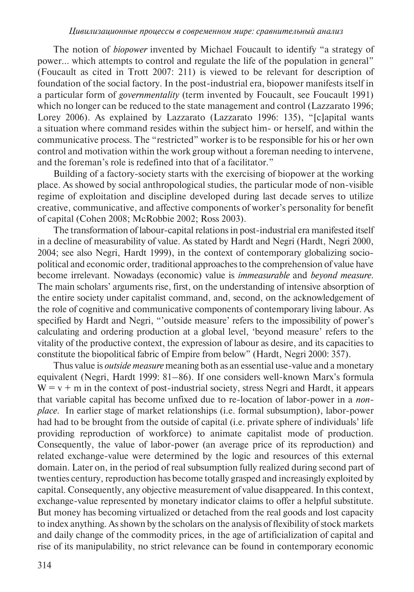The notion of *biopower* invented by Michael Foucault to identify "a strategy of power… which attempts to control and regulate the life of the population in general" (Foucault as cited in Trott 2007: 211) is viewed to be relevant for description of foundation of the social factory. In the post-industrial era, biopower manifests itself in a particular form of *governmentality* (term invented by Foucault, see Foucault 1991) which no longer can be reduced to the state management and control (Lazzarato 1996; Lorey 2006). As explained by Lazzarato (Lazzarato 1996: 135), "[c]apital wants a situation where command resides within the subject him- or herself, and within the communicative process. The "restricted" worker is to be responsible for his or her own control and motivation within the work group without a foreman needing to intervene, and the foreman's role is redefined into that of a facilitator."

Building of a factory-society starts with the exercising of biopower at the working place. As showed by social anthropological studies, the particular mode of non-visible regime of exploitation and discipline developed during last decade serves to utilize creative, communicative, and affective components of worker's personality for benefit of capital (Cohen 2008; McRobbie 2002; Ross 2003).

The transformation of labour-capital relations in post-industrial era manifested itself in a decline of measurability of value. As stated by Hardt and Negri (Hardt, Negri 2000, 2004; see also Negri, Hardt 1999), in the context of contemporary globalizing sociopolitical and economic order, traditional approaches to the comprehension of value have become irrelevant. Nowadays (economic) value is *immeasurable* and *beyond measure.*  The main scholars' arguments rise, first, on the understanding of intensive absorption of the entire society under capitalist command, and, second, on the acknowledgement of the role of cognitive and communicative components of contemporary living labour. As specified by Hardt and Negri, "'outside measure' refers to the impossibility of power's calculating and ordering production at a global level, 'beyond measure' refers to the vitality of the productive context, the expression of labour as desire, and its capacities to constitute the biopolitical fabric of Empire from below" (Hardt, Negri 2000: 357).

Thus value is *outside measure* meaning both as an essential use-value and a monetary equivalent (Negri, Hardt 1999: 81–86). If one considers well-known Marx's formula  $W = v + m$  in the context of post-industrial society, stress Negri and Hardt, it appears that variable capital has become unfixed due to re-location of labor-power in a *nonplace.* In earlier stage of market relationships (i.e. formal subsumption), labor-power had had to be brought from the outside of capital (i.e. private sphere of individuals' life providing reproduction of workforce) to animate capitalist mode of production. Consequently, the value of labor-power (an average price of its reproduction) and related exchange-value were determined by the logic and resources of this external domain. Later on, in the period of real subsumption fully realized during second part of twenties century, reproduction has become totally grasped and increasingly exploited by capital. Consequently, any objective measurement of value disappeared. In this context, exchange-value represented by monetary indicator claims to offer a helpful substitute. But money has becoming virtualized or detached from the real goods and lost capacity to index anything. As shown by the scholars on the analysis of flexibility of stock markets and daily change of the commodity prices, in the age of artificialization of capital and rise of its manipulability, no strict relevance can be found in contemporary economic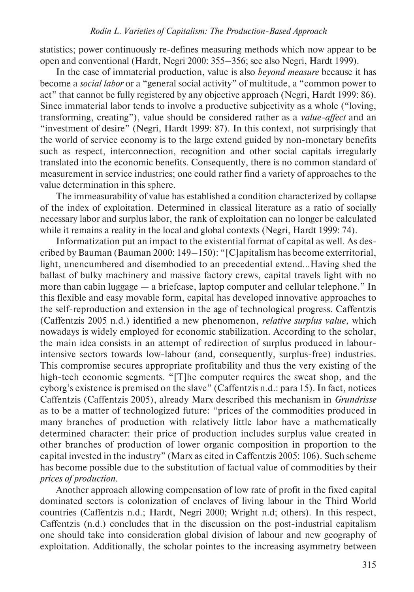statistics; power continuously re-defines measuring methods which now appear to be open and conventional (Hardt, Negri 2000: 355–356; see also Negri, Hardt 1999).

In the case of immaterial production, value is also *beyond measure* because it has become a *social labor* or a "general social activity" of multitude, a "common power to act" that cannot be fully registered by any objective approach (Negri, Hardt 1999: 86). Since immaterial labor tends to involve a productive subjectivity as a whole ("loving, transforming, creating"), value should be considered rather as a *value-affect* and an "investment of desire" (Negri, Hardt 1999: 87). In this context, not surprisingly that the world of service economy is to the large extend guided by non-monetary benefits such as respect, interconnection, recognition and other social capitals irregularly translated into the economic benefits. Consequently, there is no common standard of measurement in service industries; one could rather find a variety of approaches to the value determination in this sphere.

The immeasurability of value has established a condition characterized by collapse of the index of exploitation. Determined in classical literature as a ratio of socially necessary labor and surplus labor, the rank of exploitation can no longer be calculated while it remains a reality in the local and global contexts (Negri, Hardt 1999: 74).

Informatization put an impact to the existential format of capital as well. As described by Bauman (Bauman 2000: 149–150): "[C]apitalism has become exterritorial, light, unencumbered and disembodied to an precedential extend…Having shed the ballast of bulky machinery and massive factory crews, capital travels light with no more than cabin luggage — a briefcase, laptop computer and cellular telephone." In this flexible and easy movable form, capital has developed innovative approaches to the self-reproduction and extension in the age of technological progress. Caffentzis (Caffentzis 2005 n.d.) identified a new phenomenon, *relative surplus value,* which nowadays is widely employed for economic stabilization. According to the scholar, the main idea consists in an attempt of redirection of surplus produced in labourintensive sectors towards low-labour (and, consequently, surplus-free) industries. This compromise secures appropriate profitability and thus the very existing of the high-tech economic segments. "[T]he computer requires the sweat shop, and the cyborg's existence is premised on the slave" (Caffentzis n.d.: para 15). In fact, notices Caffentzis (Caffentzis 2005), already Marx described this mechanism in *Grundrisse* as to be a matter of technologized future: "prices of the commodities produced in many branches of production with relatively little labor have a mathematically determined character: their price of production includes surplus value created in other branches of production of lower organic composition in proportion to the capital invested in the industry" (Marx as cited in Caffentzis 2005: 106). Such scheme has become possible due to the substitution of factual value of commodities by their *prices of production.* 

Another approach allowing compensation of low rate of profit in the fixed capital dominated sectors is colonization of enclaves of living labour in the Third World countries (Caffentzis n.d.; Hardt, Negri 2000; Wright n.d; others). In this respect, Caffentzis (n.d.) concludes that in the discussion on the post-industrial capitalism one should take into consideration global division of labour and new geography of exploitation. Additionally, the scholar pointes to the increasing asymmetry between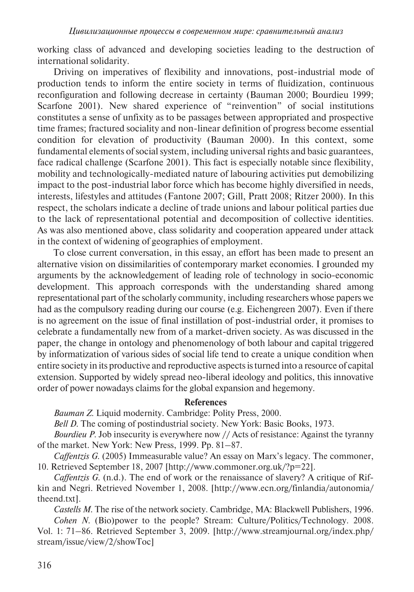working class of advanced and developing societies leading to the destruction of international solidarity.

Driving on imperatives of flexibility and innovations, post-industrial mode of production tends to inform the entire society in terms of fluidization, continuous reconfiguration and following decrease in certainty (Bauman 2000; Bourdieu 1999; Scarfone 2001). New shared experience of "reinvention" of social institutions constitutes a sense of unfixity as to be passages between appropriated and prospective time frames; fractured sociality and non-linear definition of progress become essential condition for elevation of productivity (Bauman 2000). In this context, some fundamental elements of social system, including universal rights and basic guarantees, face radical challenge (Scarfone 2001). This fact is especially notable since flexibility, mobility and technologically-mediated nature of labouring activities put demobilizing impact to the post-industrial labor force which has become highly diversified in needs, interests, lifestyles and attitudes (Fantone 2007; Gill, Pratt 2008; Ritzer 2000). In this respect, the scholars indicate a decline of trade unions and labour political parties due to the lack of representational potential and decomposition of collective identities. As was also mentioned above, class solidarity and cooperation appeared under attack in the context of widening of geographies of employment.

To close current conversation, in this essay, an effort has been made to present an alternative vision on dissimilarities of contemporary market economies. I grounded my arguments by the acknowledgement of leading role of technology in socio-economic development. This approach corresponds with the understanding shared among representational part of the scholarly community, including researchers whose papers we had as the compulsory reading during our course (e.g. Eichengreen 2007). Even if there is no agreement on the issue of final instillation of post-industrial order, it promises to celebrate a fundamentally new from of a market-driven society. As was discussed in the paper, the change in ontology and phenomenology of both labour and capital triggered by informatization of various sides of social life tend to create a unique condition when entire society in its productive and reproductive aspects is turned into a resource of capital extension. Supported by widely spread neo-liberal ideology and politics, this innovative order of power nowadays claims for the global expansion and hegemony.

#### **References**

*Bauman Z.* Liquid modernity. Cambridge: Polity Press, 2000.

*Bell D.* The coming of postindustrial society. New York: Basic Books, 1973.

*Bourdieu P.* Job insecurity is everywhere now // Acts of resistance: Against the tyranny of the market. New York: New Press, 1999. Pp. 81–87.

*Caffentzis G.* (2005) Immeasurable value? An essay on Marx's legacy. The commoner, 10. Retrieved September 18, 2007 [http://www.commoner.org.uk/?p=22].

*Caffentzis G.* (n.d.). The end of work or the renaissance of slavery? A critique of Rifkin and Negri. Retrieved November 1, 2008. [http://www.ecn.org/finlandia/autonomia/ theend.txt].

*Castells M.* The rise of the network society. Cambridge, MA: Blackwell Publishers, 1996. *Cohen N.* (Bio)power to the people? Stream: Culture/Politics/Technology. 2008. Vol. 1: 71–86. Retrieved September 3, 2009. [http://www.streamjournal.org/index.php/

stream/issue/view/2/showToc]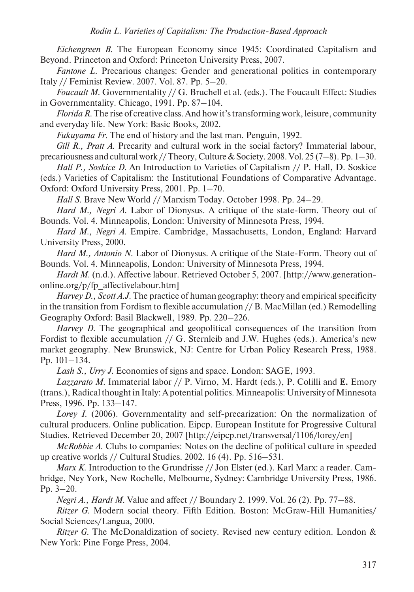*Eichengreen B.* The European Economy since 1945: Coordinated Capitalism and Beyond. Princeton and Oxford: Princeton University Press, 2007.

*Fantone L.* Precarious changes: Gender and generational politics in contemporary Italy // Feminist Review. 2007. Vol. 87. Pp. 5–20.

*Foucault M.* Governmentality // G. Bruchell et al. (eds.). The Foucault Effect: Studies in Governmentality. Chicago, 1991. Pp. 87–104.

*Florida R.* The rise of creative class. And how it's transforming work, leisure, community and everyday life. New York: Basic Books, 2002.

*Fukuyama Fr.* The end of history and the last man. Penguin, 1992.

*Gill R., Pratt A.* Precarity and cultural work in the social factory? Immaterial labour, precariousness and cultural work // Theory, Culture & Society. 2008. Vol. 25 (7–8). Pp. 1–30.

*Hall P., Soskice D.* An Introduction to Varieties of Capitalism // P. Hall, D. Soskice

(eds.) Varieties of Capitalism: the Institutional Foundations of Comparative Advantage. Oxford: Oxford University Press, 2001. Pp. 1–70.

*Hall S.* Brave New World // Marxism Today. October 1998. Pp. 24–29.

*Hard M., Negri A.* Labor of Dionysus. A critique of the state-form. Theory out of Bounds. Vol. 4. Minneapolis, London: University of Minnesota Press, 1994.

*Hard M., Negri A*. Empire. Cambridge, Massachusetts, London, England: Harvard University Press, 2000.

*Hard M., Antonio N.* Labor of Dionysus. A critique of the State-Form. Theory out of Bounds. Vol. 4. Minneapolis, London: University of Minnesota Press, 1994.

*Hardt M.* (n.d.). Affective labour. Retrieved October 5, 2007. [http://www.generationonline.org/p/fp\_affectivelabour.htm]

*Harvey D., Scott A.J.* The practice of human geography: theory and empirical specificity in the transition from Fordism to flexible accumulation // B. MacMillan (ed.) Remodelling Geography Oxford: Basil Blackwell, 1989. Pp. 220–226.

*Harvey D.* The geographical and geopolitical consequences of the transition from Fordist to flexible accumulation // G. Sternleib and J.W. Hughes (eds.). America's new market geography. New Brunswick, NJ: Centre for Urban Policy Research Press, 1988. Pp. 101–134.

*Lash S., Urry J.* Economies of signs and space. London: SAGE, 1993.

*Lazzarato M*. Immaterial labor // P. Virno, M. Hardt (eds.), P. Colilli and **E.** Emory (trans.), Radical thought in Italy: A potential politics. Minneapolis: University of Minnesota Press, 1996. Pp. 133–147.

*Lorey I.* (2006). Governmentality and self-precarization: On the normalization of cultural producers. Online publication. Eipcp. European Institute for Progressive Cultural Studies. Retrieved December 20, 2007 [http://eipcp.net/transversal/1106/lorey/en]

*McRobbie A.* Clubs to companies: Notes on the decline of political culture in speeded up creative worlds // Cultural Studies. 2002. 16 (4). Pp. 516–531.

*Marx K.* Introduction to the Grundrisse // Jon Elster (ed.). Karl Marx: a reader. Cambridge, Ney York, New Rochelle, Melbourne, Sydney: Cambridge University Press, 1986. Pp. 3–20.

*Negri A., Hardt M.* Value and affect // Boundary 2. 1999. Vol. 26 (2). Pp. 77–88.

*Ritzer G.* Modern social theory. Fifth Edition. Boston: McGraw-Hill Humanities/ Social Sciences/Langua, 2000.

*Ritzer G.* The McDonaldization of society. Revised new century edition. London & New York: Pine Forge Press, 2004.